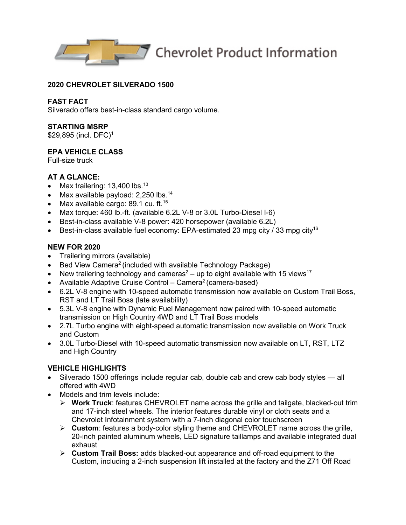

## **2020 CHEVROLET SILVERADO 1500**

## **FAST FACT**

Silverado offers best-in-class standard cargo volume.

#### **STARTING MSRP**

\$29,895 (incl. DFC)<sup>1</sup>

# **EPA VEHICLE CLASS**

Full-size truck

## **AT A GLANCE:**

- Max trailering: 13,400 lbs.<sup>13</sup>
- Max available payload:  $2,250$  lbs.<sup>14</sup>
- Max available cargo: 89.1 cu. ft.<sup>15</sup>
- Max torque: 460 lb.-ft. (available 6.2L V-8 or 3.0L Turbo-Diesel I-6)
- Best-in-class available V-8 power: 420 horsepower (available 6.2L)
- Best-in-class available fuel economy: EPA-estimated 23 mpg city / 33 mpg city<sup>16</sup>

# **NEW FOR 2020**

- Trailering mirrors (available)
- Bed View Camera<sup>2</sup> (included with available Technology Package)
- New trailering technology and cameras<sup>2</sup> up to eight available with 15 views<sup>17</sup>
- Available Adaptive Cruise Control Camera<sup>2</sup> (camera-based)
- 6.2L V-8 engine with 10-speed automatic transmission now available on Custom Trail Boss, RST and LT Trail Boss (late availability)
- 5.3L V-8 engine with Dynamic Fuel Management now paired with 10-speed automatic transmission on High Country 4WD and LT Trail Boss models
- 2.7L Turbo engine with eight-speed automatic transmission now available on Work Truck and Custom
- 3.0L Turbo-Diesel with 10-speed automatic transmission now available on LT, RST, LTZ and High Country

# **VEHICLE HIGHLIGHTS**

- Silverado 1500 offerings include regular cab, double cab and crew cab body styles all offered with 4WD
- Models and trim levels include:
	- **Work Truck**: features CHEVROLET name across the grille and tailgate, blacked-out trim and 17-inch steel wheels. The interior features durable vinyl or cloth seats and a Chevrolet Infotainment system with a 7-inch diagonal color touchscreen
	- **Custom**: features a body-color styling theme and CHEVROLET name across the grille, 20-inch painted aluminum wheels, LED signature taillamps and available integrated dual exhaust
	- **Custom Trail Boss:** adds blacked-out appearance and off-road equipment to the Custom, including a 2-inch suspension lift installed at the factory and the Z71 Off Road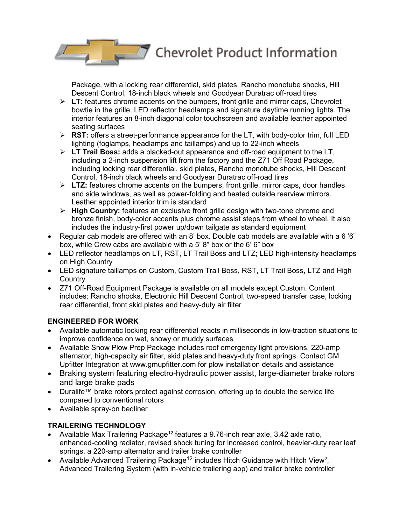$\sqrt{2}$ Chevrolet Product Information

Package, with a locking rear differential, skid plates, Rancho monotube shocks, Hill Descent Control, 18-inch black wheels and Goodyear Duratrac off-road tires

- $\triangleright$  LT: features chrome accents on the bumpers, front grille and mirror caps, Chevrolet bowtie in the grille, LED reflector headlamps and signature daytime running lights. The interior features an 8-inch diagonal color touchscreen and available leather appointed seating surfaces
- **RST:** offers a street-performance appearance for the LT, with body-color trim, full LED lighting (foglamps, headlamps and taillamps) and up to 22-inch wheels
- **LT Trail Boss:** adds a blacked-out appearance and off-road equipment to the LT, including a 2-inch suspension lift from the factory and the Z71 Off Road Package, including locking rear differential, skid plates, Rancho monotube shocks, Hill Descent Control, 18-inch black wheels and Goodyear Duratrac off-road tires
- **LTZ:** features chrome accents on the bumpers, front grille, mirror caps, door handles and side windows, as well as power-folding and heated outside rearview mirrors. Leather appointed interior trim is standard
- **High Country:** features an exclusive front grille design with two-tone chrome and bronze finish, body-color accents plus chrome assist steps from wheel to wheel. It also includes the industry-first power up/down tailgate as standard equipment
- Regular cab models are offered with an 8' box. Double cab models are available with a 6'6" box, while Crew cabs are available with a 5' 8" box or the 6' 6" box
- LED reflector headlamps on LT, RST, LT Trail Boss and LTZ; LED high-intensity headlamps on High Country
- LED signature taillamps on Custom, Custom Trail Boss, RST, LT Trail Boss, LTZ and High **Country**
- Z71 Off-Road Equipment Package is available on all models except Custom. Content includes: Rancho shocks, Electronic Hill Descent Control, two-speed transfer case, locking rear differential, front skid plates and heavy-duty air filter

# **ENGINEERED FOR WORK**

- Available automatic locking rear differential reacts in milliseconds in low-traction situations to improve confidence on wet, snowy or muddy surfaces
- Available Snow Plow Prep Package includes roof emergency light provisions, 220-amp alternator, high-capacity air filter, skid plates and heavy-duty front springs. Contact GM Upfitter Integration at www.gmupfitter.com for plow installation details and assistance
- Braking system featuring electro-hydraulic power assist, large-diameter brake rotors and large brake pads
- Duralife™ brake rotors protect against corrosion, offering up to double the service life compared to conventional rotors
- Available spray-on bedliner

# **TRAILERING TECHNOLOGY**

- Available Max Trailering Package<sup>12</sup> features a 9.76-inch rear axle, 3.42 axle ratio, enhanced-cooling radiator, revised shock tuning for increased control, heavier-duty rear leaf springs, a 220-amp alternator and trailer brake controller
- Available Advanced Trailering Package<sup>12</sup> includes Hitch Guidance with Hitch View<sup>2</sup>, Advanced Trailering System (with in-vehicle trailering app) and trailer brake controller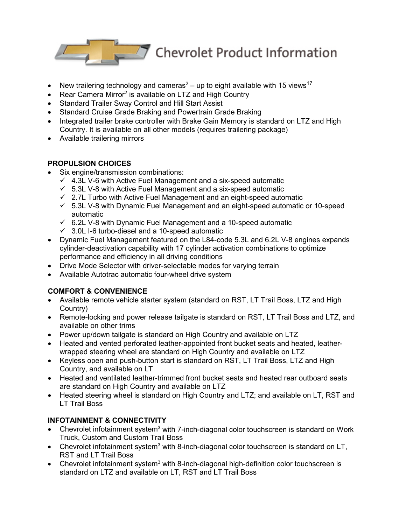

- New trailering technology and cameras<sup>2</sup> up to eight available with 15 views<sup>17</sup>
- Rear Camera Mirror<sup>2</sup> is available on LTZ and High Country
- Standard Trailer Sway Control and Hill Start Assist
- Standard Cruise Grade Braking and Powertrain Grade Braking
- Integrated trailer brake controller with Brake Gain Memory is standard on LTZ and High Country. It is available on all other models (requires trailering package)
- Available trailering mirrors

# **PROPULSION CHOICES**

- Six engine/transmission combinations:
	- $\checkmark$  4.3L V-6 with Active Fuel Management and a six-speed automatic
	- $\times$  5.3L V-8 with Active Fuel Management and a six-speed automatic
	- $\checkmark$  2.7L Turbo with Active Fuel Management and an eight-speed automatic
	- $\checkmark$  5.3L V-8 with Dynamic Fuel Management and an eight-speed automatic or 10-speed automatic
	- $6.2$ L V-8 with Dynamic Fuel Management and a 10-speed automatic
	- $\checkmark$  3.0L I-6 turbo-diesel and a 10-speed automatic
- Dynamic Fuel Management featured on the L84-code 5.3L and 6.2L V-8 engines expands cylinder-deactivation capability with 17 cylinder activation combinations to optimize performance and efficiency in all driving conditions
- Drive Mode Selector with driver-selectable modes for varying terrain
- Available Autotrac automatic four-wheel drive system

# **COMFORT & CONVENIENCE**

- Available remote vehicle starter system (standard on RST, LT Trail Boss, LTZ and High Country)
- Remote-locking and power release tailgate is standard on RST, LT Trail Boss and LTZ, and available on other trims
- Power up/down tailgate is standard on High Country and available on LTZ
- Heated and vented perforated leather-appointed front bucket seats and heated, leatherwrapped steering wheel are standard on High Country and available on LTZ
- Keyless open and push-button start is standard on RST, LT Trail Boss, LTZ and High Country, and available on LT
- Heated and ventilated leather-trimmed front bucket seats and heated rear outboard seats are standard on High Country and available on LTZ
- Heated steering wheel is standard on High Country and LTZ; and available on LT, RST and LT Trail Boss

# **INFOTAINMENT & CONNECTIVITY**

- Chevrolet infotainment system<sup>3</sup> with 7-inch-diagonal color touchscreen is standard on Work Truck, Custom and Custom Trail Boss
- Chevrolet infotainment system<sup>3</sup> with 8-inch-diagonal color touchscreen is standard on LT, RST and LT Trail Boss
- Chevrolet infotainment system<sup>3</sup> with 8-inch-diagonal high-definition color touchscreen is standard on LTZ and available on LT, RST and LT Trail Boss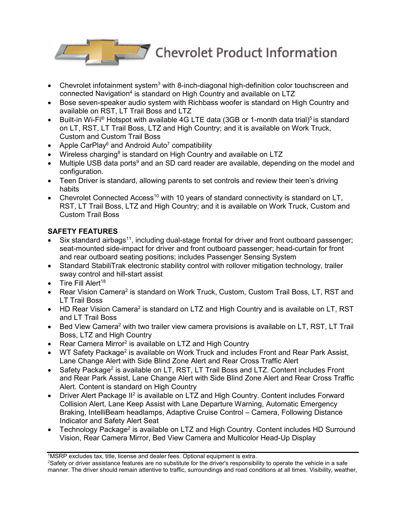

- Chevrolet infotainment system $3$  with 8-inch-diagonal high-definition color touchscreen and connected Navigation<sup>4</sup> is standard on High Country and available on LTZ
- Bose seven-speaker audio system with Richbass woofer is standard on High Country and available on RST, LT Trail Boss and LTZ
- Built-in Wi-Fi<sup>®</sup> Hotspot with available 4G LTE data (3GB or 1-month data trial)<sup>5</sup> is standard on LT, RST, LT Trail Boss, LTZ and High Country; and it is available on Work Truck, Custom and Custom Trail Boss
- Apple CarPlay<sup>6</sup> and Android Auto<sup>7</sup> compatibility
- Wireless charging<sup>8</sup> is standard on High Country and available on LTZ
- Multiple USB data ports<sup>9</sup> and an SD card reader are available, depending on the model and configuration.
- Teen Driver is standard, allowing parents to set controls and review their teen's driving habits
- Chevrolet Connected Access<sup>10</sup> with 10 years of standard connectivity is standard on LT, RST, LT Trail Boss, LTZ and High Country; and it is available on Work Truck, Custom and Custom Trail Boss

# **SAFETY FEATURES**

- Six standard airbags<sup>11</sup>, including dual-stage frontal for driver and front outboard passenger; seat-mounted side-impact for driver and front outboard passenger; head-curtain for front and rear outboard seating positions; includes Passenger Sensing System
- Standard StabiliTrak electronic stability control with rollover mitigation technology, trailer sway control and hill-start assist
- Tire Fill Alert<sup>18</sup>
- Rear Vision Camera<sup>2</sup> is standard on Work Truck, Custom, Custom Trail Boss, LT, RST and LT Trail Boss
- HD Rear Vision Camera<sup>2</sup> is standard on LTZ and High Country and is available on LT, RST and LT Trail Boss
- Bed View Camera<sup>2</sup> with two trailer view camera provisions is available on LT, RST, LT Trail Boss, LTZ and High Country
- Rear Camera Mirror<sup>2</sup> is available on LTZ and High Country
- WT Safety Package<sup>2</sup> is available on Work Truck and includes Front and Rear Park Assist, Lane Change Alert with Side Blind Zone Alert and Rear Cross Traffic Alert
- Safety Package<sup>2</sup> is available on LT, RST, LT Trail Boss and LTZ. Content includes Front and Rear Park Assist, Lane Change Alert with Side Blind Zone Alert and Rear Cross Traffic Alert. Content is standard on High Country
- Driver Alert Package II<sup>2</sup> is available on LTZ and High Country. Content includes Forward Collision Alert, Lane Keep Assist with Lane Departure Warning, Automatic Emergency Braking, IntelliBeam headlamps, Adaptive Cruise Control – Camera, Following Distance Indicator and Safety Alert Seat
- Technology Package<sup>2</sup> is available on LTZ and High Country. Content includes HD Surround Vision, Rear Camera Mirror, Bed View Camera and Multicolor Head-Up Display

<sup>1</sup>MSRP excludes tax, title, license and dealer fees. Optional equipment is extra.

<sup>2</sup>Safety or driver assistance features are no substitute for the driver's responsibility to operate the vehicle in a safe manner. The driver should remain attentive to traffic, surroundings and road conditions at all times. Visibility, weather,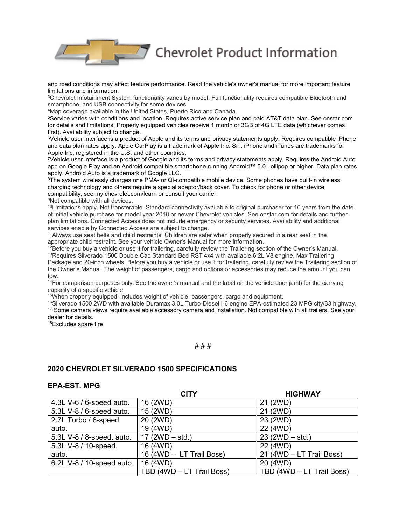$\sqrt{7}$  Chevrolet Product Information

and road conditions may affect feature performance. Read the vehicle's owner's manual for more important feature limitations and information.

3Chevrolet Infotainment System functionality varies by model. Full functionality requires compatible Bluetooth and smartphone, and USB connectivity for some devices.

4Map coverage available in the United States, Puerto Rico and Canada.

5Service varies with conditions and location. Requires active service plan and paid AT&T data plan. See onstar.com for details and limitations. Properly equipped vehicles receive 1 month or 3GB of 4G LTE data (whichever comes first). Availability subject to change.

6Vehicle user interface is a product of Apple and its terms and privacy statements apply. Requires compatible iPhone and data plan rates apply. Apple CarPlay is a trademark of Apple Inc. Siri, iPhone and iTunes are trademarks for Apple Inc, registered in the U.S. and other countries.

7Vehicle user interface is a product of Google and its terms and privacy statements apply. Requires the Android Auto app on Google Play and an Android compatible smartphone running Android™ 5.0 Lollipop or higher. Data plan rates apply. Android Auto is a trademark of Google LLC.

8The system wirelessly charges one PMA- or Qi-compatible mobile device. Some phones have built-in wireless charging technology and others require a special adaptor/back cover. To check for phone or other device compatibility, see my.chevrolet.com/learn or consult your carrier.

9Not compatible with all devices.

10Limitations apply. Not transferable. Standard connectivity available to original purchaser for 10 years from the date of initial vehicle purchase for model year 2018 or newer Chevrolet vehicles. See onstar.com for details and further plan limitations. Connected Access does not include emergency or security services. Availability and additional services enable by Connected Access are subject to change.

<sup>11</sup>Always use seat belts and child restraints. Children are safer when properly secured in a rear seat in the appropriate child restraint. See your vehicle Owner's Manual for more information.

 $12B$  before you buy a vehicle or use it for trailering, carefully review the Trailering section of the Owner's Manual. <sup>13</sup>Requires Silverado 1500 Double Cab Standard Bed RST 4x4 with available 6.2L V8 engine, Max Trailering Package and 20-inch wheels. Before you buy a vehicle or use it for trailering, carefully review the Trailering section of the Owner's Manual. The weight of passengers, cargo and options or accessories may reduce the amount you can tow.

<sup>14</sup>For comparison purposes only. See the owner's manual and the label on the vehicle door jamb for the carrying capacity of a specific vehicle.

15When properly equipped; includes weight of vehicle, passengers, cargo and equipment.

16Silverado 1500 2WD with available Duramax 3.0L Turbo-Diesel I-6 engine EPA-estimated 23 MPG city/33 highway. <sup>17</sup> Some camera views require available accessory camera and installation. Not compatible with all trailers. See your dealer for details.

18Excludes spare tire

#### # # #

#### **2020 CHEVROLET SILVERADO 1500 SPECIFICATIONS**

#### **EPA-EST. MPG**

|                           | CITY                      | <b>HIGHWAY</b>            |
|---------------------------|---------------------------|---------------------------|
| 4.3L V-6 / 6-speed auto.  | 16 (2WD)                  | 21 (2WD)                  |
| 5.3L V-8 / 6-speed auto.  | 15 (2WD)                  | 21 (2WD)                  |
| 2.7L Turbo / 8-speed      | 20 (2WD)                  | 23 (2WD)                  |
| auto.                     | 19 (4WD)                  | 22 (4WD)                  |
| 5.3L V-8 / 8-speed. auto. | 17 $(2WD - std.)$         | $23 (2WD - std.)$         |
| 5.3L V-8 / 10-speed.      | 16 (4WD)                  | 22 (4WD)                  |
| auto.                     | 16 (4WD - LT Trail Boss)  | 21 (4WD - LT Trail Boss)  |
| 6.2L V-8 / 10-speed auto. | 16 (4WD)                  | 20 (4WD)                  |
|                           | TBD (4WD - LT Trail Boss) | TBD (4WD - LT Trail Boss) |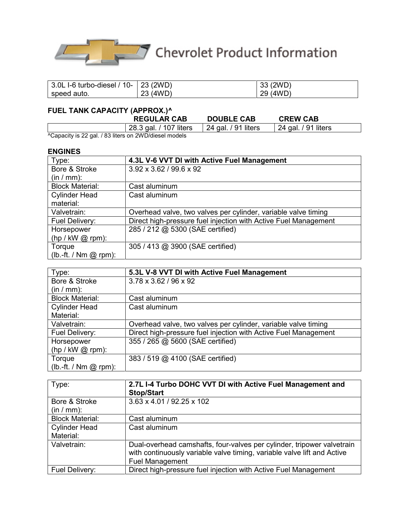

| $'$ 3.0L I-6 turbo-diesel / 10-   23 (2WD) |          | 33 (2WD) |
|--------------------------------------------|----------|----------|
| speed auto.                                | 23 (4WD) | 29 (4WD) |

# **FUEL TANK CAPACITY (APPROX.)^**

|     |                                       | <b>REGULAR CAB</b>                        | <b>DOUBLE CAB</b>     | <b>CREW CAB</b>     |  |
|-----|---------------------------------------|-------------------------------------------|-----------------------|---------------------|--|
|     |                                       | 28.3 gal. / 107 liters                    | 24 gal. $/$ 91 liters | 24 gal. / 91 liters |  |
| . . | $\mathbf{r}$ , as i , as $\mathbf{r}$ | $\sim$ $\sim$ $\sim$ $\sim$ $\sim$ $\sim$ |                       |                     |  |

^Capacity is 22 gal. / 83 liters on 2WD/diesel models

#### **ENGINES**

| Type:                             | 4.3L V-6 VVT DI with Active Fuel Management                     |
|-----------------------------------|-----------------------------------------------------------------|
| Bore & Stroke<br>$(in / mm)$ :    | $3.92 \times 3.62 / 99.6 \times 92$                             |
| <b>Block Material:</b>            | Cast aluminum                                                   |
| <b>Cylinder Head</b><br>material: | Cast aluminum                                                   |
| Valvetrain:                       | Overhead valve, two valves per cylinder, variable valve timing  |
| Fuel Delivery:                    | Direct high-pressure fuel injection with Active Fuel Management |
| Horsepower                        | 285 / 212 @ 5300 (SAE certified)                                |
| $(hp / kW @ rpm)$ :               |                                                                 |
| Torque                            | 305 / 413 @ 3900 (SAE certified)                                |
| $(lb.-ft. / Nm @ rpm)$ :          |                                                                 |

| Type:                    | 5.3L V-8 VVT DI with Active Fuel Management                     |
|--------------------------|-----------------------------------------------------------------|
| Bore & Stroke            | 3.78 x 3.62 / 96 x 92                                           |
| $(in / mm)$ :            |                                                                 |
| <b>Block Material:</b>   | Cast aluminum                                                   |
| <b>Cylinder Head</b>     | Cast aluminum                                                   |
| Material:                |                                                                 |
| Valvetrain:              | Overhead valve, two valves per cylinder, variable valve timing  |
| Fuel Delivery:           | Direct high-pressure fuel injection with Active Fuel Management |
| Horsepower               | 355 / 265 @ 5600 (SAE certified)                                |
| $(hp / kW @ rpm)$ :      |                                                                 |
| Torque                   | 383 / 519 @ 4100 (SAE certified)                                |
| $(lb.-ft. / Nm @ rpm)$ : |                                                                 |

| Type:                  | 2.7L I-4 Turbo DOHC VVT DI with Active Fuel Management and<br><b>Stop/Start</b>                                                                                             |
|------------------------|-----------------------------------------------------------------------------------------------------------------------------------------------------------------------------|
| Bore & Stroke          | 3.63 x 4.01 / 92.25 x 102                                                                                                                                                   |
| $(in / mm)$ :          |                                                                                                                                                                             |
| <b>Block Material:</b> | Cast aluminum                                                                                                                                                               |
| <b>Cylinder Head</b>   | Cast aluminum                                                                                                                                                               |
| Material:              |                                                                                                                                                                             |
| Valvetrain:            | Dual-overhead camshafts, four-valves per cylinder, tripower valvetrain<br>with continuously variable valve timing, variable valve lift and Active<br><b>Fuel Management</b> |
| Fuel Delivery:         | Direct high-pressure fuel injection with Active Fuel Management                                                                                                             |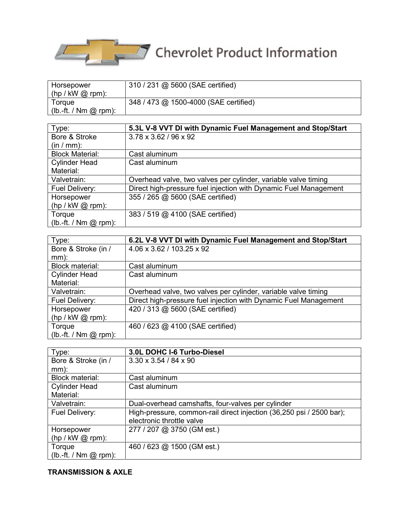

| Horsepower                   | 310 / 231 @ 5600 (SAE certified)      |
|------------------------------|---------------------------------------|
| $(hp / kW @ rpm)$ :          |                                       |
| Torque                       | 348 / 473 @ 1500-4000 (SAE certified) |
| $(h.-ft. / Nm \oslash rpm).$ |                                       |

| Type:                    | 5.3L V-8 VVT DI with Dynamic Fuel Management and Stop/Start      |
|--------------------------|------------------------------------------------------------------|
| Bore & Stroke            | 3.78 x 3.62 / 96 x 92                                            |
| $(in / mm)$ :            |                                                                  |
| <b>Block Material:</b>   | Cast aluminum                                                    |
| <b>Cylinder Head</b>     | Cast aluminum                                                    |
| Material:                |                                                                  |
| Valvetrain:              | Overhead valve, two valves per cylinder, variable valve timing   |
| Fuel Delivery:           | Direct high-pressure fuel injection with Dynamic Fuel Management |
| Horsepower               | 355 / 265 @ 5600 (SAE certified)                                 |
| $(hp / kW @ rpm)$ :      |                                                                  |
| Torque                   | 383 / 519 @ 4100 (SAE certified)                                 |
| $(lb.-ft. / Nm @ rpm)$ : |                                                                  |

| Type:                    | 6.2L V-8 VVT DI with Dynamic Fuel Management and Stop/Start      |
|--------------------------|------------------------------------------------------------------|
| Bore & Stroke (in /      | 4.06 x 3.62 / 103.25 x 92                                        |
| $mm)$ :                  |                                                                  |
| <b>Block material:</b>   | Cast aluminum                                                    |
| <b>Cylinder Head</b>     | Cast aluminum                                                    |
| Material:                |                                                                  |
| Valvetrain:              | Overhead valve, two valves per cylinder, variable valve timing   |
| Fuel Delivery:           | Direct high-pressure fuel injection with Dynamic Fuel Management |
| Horsepower               | 420 / 313 @ 5600 (SAE certified)                                 |
| $(hp / kW @ rpm)$ :      |                                                                  |
| Torque                   | 460 / 623 @ 4100 (SAE certified)                                 |
| $(lb.-ft. / Nm @ rpm)$ : |                                                                  |

| Type:                    | 3.0L DOHC I-6 Turbo-Diesel                                           |
|--------------------------|----------------------------------------------------------------------|
| Bore & Stroke (in /      | $3.30 \times 3.54 / 84 \times 90$                                    |
| $mm)$ :                  |                                                                      |
| <b>Block material:</b>   | Cast aluminum                                                        |
| <b>Cylinder Head</b>     | Cast aluminum                                                        |
| Material:                |                                                                      |
| Valvetrain:              | Dual-overhead camshafts, four-valves per cylinder                    |
| Fuel Delivery:           | High-pressure, common-rail direct injection (36,250 psi / 2500 bar); |
|                          | electronic throttle valve                                            |
| Horsepower               | 277 / 207 @ 3750 (GM est.)                                           |
| $(hp / kW @ rpm)$ :      |                                                                      |
| Torque                   | 460 / 623 @ 1500 (GM est.)                                           |
| $(lb.-ft. / Nm @ rpm)$ : |                                                                      |

# **TRANSMISSION & AXLE**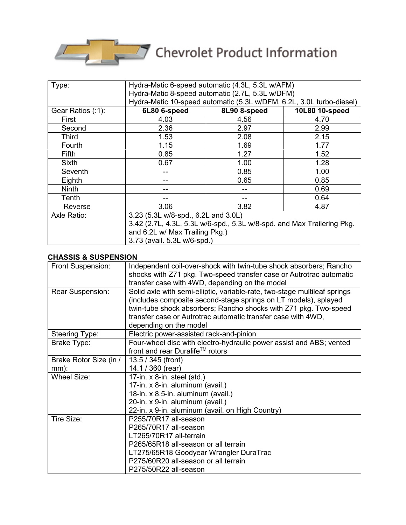

| Type:             | Hydra-Matic 6-speed automatic (4.3L, 5.3L w/AFM)                       |              |                |
|-------------------|------------------------------------------------------------------------|--------------|----------------|
|                   | Hydra-Matic 8-speed automatic (2.7L, 5.3L w/DFM)                       |              |                |
|                   | Hydra-Matic 10-speed automatic (5.3L w/DFM, 6.2L, 3.0L turbo-diesel)   |              |                |
| Gear Ratios (:1): | 6L80 6-speed                                                           | 8L90 8-speed | 10L80 10-speed |
| First             | 4.03                                                                   | 4.56         | 4.70           |
| Second            | 2.36                                                                   | 2.97         | 2.99           |
| Third             | 1.53                                                                   | 2.08         | 2.15           |
| Fourth            | 1.15                                                                   | 1.69         | 1.77           |
| Fifth             | 0.85                                                                   | 1.27         | 1.52           |
| Sixth             | 0.67                                                                   | 1.00         | 1.28           |
| Seventh           |                                                                        | 0.85         | 1.00           |
| Eighth            |                                                                        | 0.65         | 0.85           |
| <b>Ninth</b>      |                                                                        |              | 0.69           |
| Tenth             |                                                                        |              | 0.64           |
| Reverse           | 3.06                                                                   | 3.82         | 4.87           |
| Axle Ratio:       | 3.23 (5.3L w/8-spd., 6.2L and 3.0L)                                    |              |                |
|                   | 3.42 (2.7L, 4.3L, 5.3L w/6-spd., 5.3L w/8-spd. and Max Trailering Pkg. |              |                |
|                   | and 6.2L w/ Max Trailing Pkg.)                                         |              |                |
|                   | 3.73 (avail. 5.3L w/6-spd.)                                            |              |                |

# **CHASSIS & SUSPENSION**

| Front Suspension:      | Independent coil-over-shock with twin-tube shock absorbers; Rancho        |
|------------------------|---------------------------------------------------------------------------|
|                        | shocks with Z71 pkg. Two-speed transfer case or Autrotrac automatic       |
|                        | transfer case with 4WD, depending on the model                            |
| Rear Suspension:       | Solid axle with semi-elliptic, variable-rate, two-stage multileaf springs |
|                        | (includes composite second-stage springs on LT models), splayed           |
|                        | twin-tube shock absorbers; Rancho shocks with Z71 pkg. Two-speed          |
|                        | transfer case or Autrotrac automatic transfer case with 4WD,              |
|                        | depending on the model                                                    |
| Steering Type:         | Electric power-assisted rack-and-pinion                                   |
| Brake Type:            | Four-wheel disc with electro-hydraulic power assist and ABS; vented       |
|                        | front and rear Duralife™ rotors                                           |
| Brake Rotor Size (in / | 13.5 / 345 (front)                                                        |
| $mm)$ :                | 14.1 / 360 (rear)                                                         |
| <b>Wheel Size:</b>     | 17-in. x 8-in. steel (std.)                                               |
|                        | 17-in. x 8-in. aluminum (avail.)                                          |
|                        | 18-in. x 8.5-in. aluminum (avail.)                                        |
|                        | 20-in. x 9-in. aluminum (avail.)                                          |
|                        | 22-in. x 9-in. aluminum (avail. on High Country)                          |
| Tire Size:             | P255/70R17 all-season                                                     |
|                        | P265/70R17 all-season                                                     |
|                        | LT265/70R17 all-terrain                                                   |
|                        | P265/65R18 all-season or all terrain                                      |
|                        | LT275/65R18 Goodyear Wrangler DuraTrac                                    |
|                        | P275/60R20 all-season or all terrain                                      |
|                        | P275/50R22 all-season                                                     |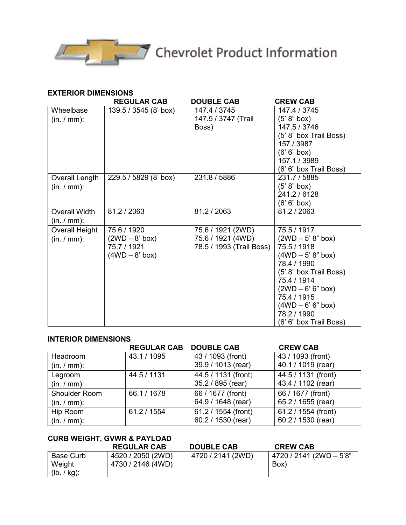

#### **EXTERIOR DIMENSIONS**

|                | <b>REGULAR CAB</b>    | <b>DOUBLE CAB</b>        | <b>CREW CAB</b>        |
|----------------|-----------------------|--------------------------|------------------------|
| Wheelbase      | 139.5 / 3545 (8' box) | 147.4 / 3745             | 147.4 / 3745           |
| (in. / mm):    |                       | 147.5 / 3747 (Trail      | (5' 8" box)            |
|                |                       | Boss)                    | 147.5 / 3746           |
|                |                       |                          | (5' 8" box Trail Boss) |
|                |                       |                          | 157 / 3987             |
|                |                       |                          | (6' 6'' box)           |
|                |                       |                          | 157.1 / 3989           |
|                |                       |                          | (6' 6" box Trail Boss) |
| Overall Length | 229.5 / 5829 (8' box) | 231.8 / 5886             | 231.7 / 5885           |
| (in. / mm):    |                       |                          | (5' 8" box)            |
|                |                       |                          | 241.2 / 6128           |
|                |                       |                          | (6' 6" box)            |
| Overall Width  | 81.2 / 2063           | 81.2 / 2063              | 81.2 / 2063            |
| (in. / mm):    |                       |                          |                        |
| Overall Height | 75.6 / 1920           | 75.6 / 1921 (2WD)        | 75.5 / 1917            |
| (in. / mm):    | $(2WD-8'$ box)        | 75.6 / 1921 (4WD)        | $(2WD - 5' 8" box)$    |
|                | 75.7 / 1921           | 78.5 / 1993 (Trail Boss) | 75.5 / 1918            |
|                | $(4WD - 8' box)$      |                          | $(4WD - 5' 8" box)$    |
|                |                       |                          | 78.4 / 1990            |
|                |                       |                          | (5' 8" box Trail Boss) |
|                |                       |                          | 75.4 / 1914            |
|                |                       |                          | $(2WD - 6' 6" box)$    |
|                |                       |                          | 75.4 / 1915            |
|                |                       |                          | $(4WD - 6' 6" box)$    |
|                |                       |                          | 78.2 / 1990            |
|                |                       |                          | (6' 6" box Trail Boss) |

#### **INTERIOR DIMENSIONS**

|               | <b>REGULAR CAB DOUBLE CAB</b> |                     | <b>CREW CAB</b>     |
|---------------|-------------------------------|---------------------|---------------------|
| Headroom      | 43.1 / 1095                   | 43 / 1093 (front)   | 43 / 1093 (front)   |
| (in. / mm):   |                               | 39.9 / 1013 (rear)  | 40.1 / 1019 (rear)  |
| Legroom       | 44.5 / 1131                   | 44.5 / 1131 (front) | 44.5 / 1131 (front) |
| (in. / mm):   |                               | 35.2 / 895 (rear)   | 43.4 / 1102 (rear)  |
| Shoulder Room | 66.1 / 1678                   | 66 / 1677 (front)   | 66 / 1677 (front)   |
| (in. / mm):   |                               | 64.9 / 1648 (rear)  | 65.2 / 1655 (rear)  |
| Hip Room      | 61.2 / 1554                   | 61.2 / 1554 (front) | 61.2 / 1554 (front) |
| (in. / mm):   |                               | 60.2 / 1530 (rear)  | 60.2 / 1530 (rear)  |

| <b>CURB WEIGHT, GVWR &amp; PAYLOAD</b> |                    |                   |                         |  |
|----------------------------------------|--------------------|-------------------|-------------------------|--|
|                                        | <b>REGULAR CAB</b> | <b>DOUBLE CAB</b> | <b>CREW CAB</b>         |  |
| Base Curb                              | 4520 / 2050 (2WD)  | 4720 / 2141 (2WD) | 4720 / 2141 (2WD - 5'8" |  |
| Weight                                 | 4730 / 2146 (4WD)  |                   | Box)                    |  |
| $(lb. / kg)$ :                         |                    |                   |                         |  |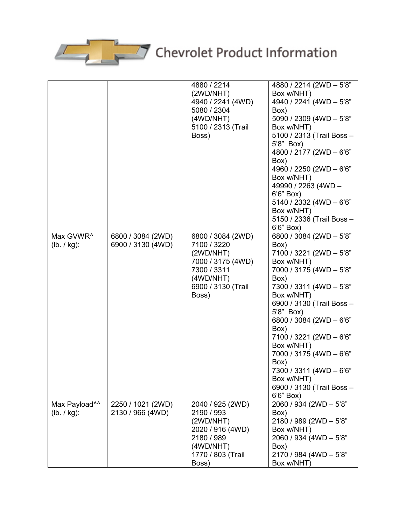

|                                          |                                        | 4880 / 2214<br>(2WD/NHT)<br>4940 / 2241 (4WD)<br>5080 / 2304<br>(4WD/NHT)<br>5100 / 2313 (Trail<br>Boss)                      | 4880 / 2214 (2WD - 5'8"<br>Box w/NHT)<br>4940 / 2241 (4WD - 5'8"<br>Box)<br>5090 / 2309 (4WD - 5'8"<br>Box w/NHT)<br>5100 / 2313 (Trail Boss -<br>5'8" Box)<br>4800 / 2177 (2WD - 6'6"<br>Box)<br>4960 / 2250 (2WD - 6'6"<br>Box w/NHT)<br>49990 / 2263 (4WD -<br>6'6" Box)<br>5140 / 2332 (4WD $-6'6"$<br>Box w/NHT)<br>5150 / 2336 (Trail Boss -<br>6'6" Box)                                     |
|------------------------------------------|----------------------------------------|-------------------------------------------------------------------------------------------------------------------------------|-----------------------------------------------------------------------------------------------------------------------------------------------------------------------------------------------------------------------------------------------------------------------------------------------------------------------------------------------------------------------------------------------------|
| Max GVWR <sup>^</sup><br>$(lb. / kg)$ :  | 6800 / 3084 (2WD)<br>6900 / 3130 (4WD) | 6800 / 3084 (2WD)<br>7100 / 3220<br>(2WD/NHT)<br>7000 / 3175 (4WD)<br>7300 / 3311<br>(4WD/NHT)<br>6900 / 3130 (Trail<br>Boss) | 6800 / 3084 (2WD - 5'8"<br>Box)<br>7100 / 3221 (2WD - 5'8"<br>Box w/NHT)<br>7000 / 3175 (4WD - 5'8"<br>Box)<br>7300 / 3311 (4WD - 5'8"<br>Box w/NHT)<br>6900 / 3130 (Trail Boss -<br>5'8" Box)<br>6800 / 3084 (2WD - 6'6"<br>Box)<br>7100 / 3221 (2WD - 6'6"<br>Box w/NHT)<br>7000 / 3175 (4WD - 6'6"<br>Box)<br>7300 / 3311 (4WD - 6'6"<br>Box w/NHT)<br>6900 / 3130 (Trail Boss -<br>$6'6''$ Box) |
| Max Payload <sup>^^</sup><br>(lb. / kg): | 2250 / 1021 (2WD)<br>2130 / 966 (4WD)  | 2040 / 925 (2WD)<br>2190 / 993<br>(2WD/NHT)<br>2020 / 916 (4WD)<br>2180 / 989<br>(4WD/NHT)<br>1770 / 803 (Trail<br>Boss)      | 2060 / 934 (2WD - 5'8"<br>Box)<br>2180 / 989 (2WD - 5'8"<br>Box w/NHT)<br>2060 / 934 (4WD - 5'8"<br>Box)<br>2170 / 984 (4WD - 5'8"<br>Box w/NHT)                                                                                                                                                                                                                                                    |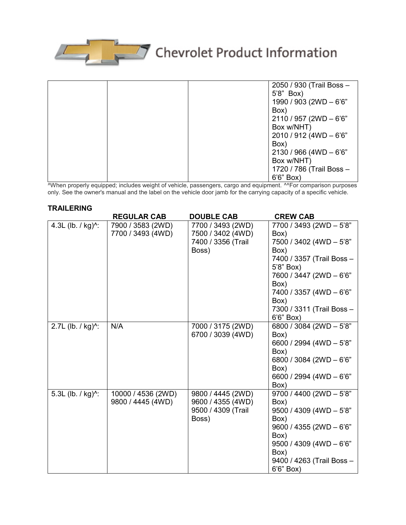

|  | 2050 / 930 (Trail Boss -  |
|--|---------------------------|
|  | 5'8" Box)                 |
|  | 1990 / 903 (2WD - 6'6"    |
|  | Box)                      |
|  | $2110 / 957 (2WD - 6'6")$ |
|  | Box w/NHT)                |
|  | $2010 / 912$ (4WD - 6'6"  |
|  | Box)                      |
|  | $2130 / 966$ (4WD - 6'6"  |
|  | Box w/NHT)                |
|  | 1720 / 786 (Trail Boss -  |
|  | 6'6" Box)                 |

^When properly equipped; includes weight of vehicle, passengers, cargo and equipment. ^^For comparison purposes only. See the owner's manual and the label on the vehicle door jamb for the carrying capacity of a specific vehicle.

# **TRAILERING**

|                               | <b>REGULAR CAB</b> | <b>DOUBLE CAB</b>  | <b>CREW CAB</b>            |
|-------------------------------|--------------------|--------------------|----------------------------|
| 4.3L (lb. / kg) $^{\wedge}$ : | 7900 / 3583 (2WD)  | 7700 / 3493 (2WD)  | 7700 / 3493 (2WD - 5'8"    |
|                               | 7700 / 3493 (4WD)  | 7500 / 3402 (4WD)  | Box)                       |
|                               |                    | 7400 / 3356 (Trail | 7500 / 3402 (4WD - 5'8"    |
|                               |                    | Boss)              | Box)                       |
|                               |                    |                    | 7400 / 3357 (Trail Boss -  |
|                               |                    |                    | 5'8" Box)                  |
|                               |                    |                    | 7600 / 3447 (2WD - 6'6"    |
|                               |                    |                    | Box)                       |
|                               |                    |                    | 7400 / 3357 (4WD - 6'6"    |
|                               |                    |                    | Box)                       |
|                               |                    |                    | 7300 / 3311 (Trail Boss -  |
|                               |                    |                    | 6'6" Box)                  |
| 2.7L (lb. / kg) $^{\wedge}$ : | N/A                | 7000 / 3175 (2WD)  | 6800 / 3084 (2WD - 5'8"    |
|                               |                    | 6700 / 3039 (4WD)  | Box)                       |
|                               |                    |                    | 6600 / 2994 (4WD - 5'8"    |
|                               |                    |                    | Box)                       |
|                               |                    |                    | 6800 / 3084 (2WD $-6$ '6"  |
|                               |                    |                    | Box)                       |
|                               |                    |                    | 6600 / 2994 (4WD $-6$ '6"  |
|                               |                    |                    | Box)                       |
| 5.3L (lb. / kg) $^{\wedge}$ : | 10000 / 4536 (2WD) | 9800 / 4445 (2WD)  | 9700 / 4400 (2WD - 5'8"    |
|                               | 9800 / 4445 (4WD)  | 9600 / 4355 (4WD)  | Box)                       |
|                               |                    | 9500 / 4309 (Trail | $9500 / 4309$ (4WD $-5'8"$ |
|                               |                    | Boss)              | Box)                       |
|                               |                    |                    | 9600 / 4355 (2WD - 6'6"    |
|                               |                    |                    | Box)                       |
|                               |                    |                    | $9500 / 4309$ (4WD - 6'6"  |
|                               |                    |                    | Box)                       |
|                               |                    |                    | 9400 / 4263 (Trail Boss -  |
|                               |                    |                    | 6'6" Box)                  |